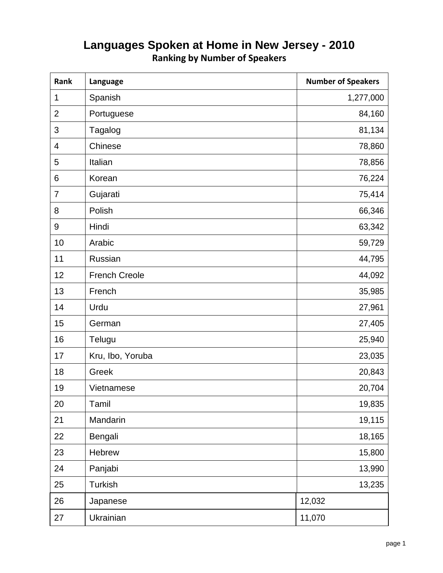| Rank           | Language             | <b>Number of Speakers</b> |
|----------------|----------------------|---------------------------|
| 1              | Spanish              | 1,277,000                 |
| $\overline{2}$ | Portuguese           | 84,160                    |
| 3              | Tagalog              | 81,134                    |
| $\overline{4}$ | Chinese              | 78,860                    |
| 5              | Italian              | 78,856                    |
| 6              | Korean               | 76,224                    |
| $\overline{7}$ | Gujarati             | 75,414                    |
| 8              | Polish               | 66,346                    |
| 9              | Hindi                | 63,342                    |
| 10             | Arabic               | 59,729                    |
| 11             | Russian              | 44,795                    |
| 12             | <b>French Creole</b> | 44,092                    |
| 13             | French               | 35,985                    |
| 14             | Urdu                 | 27,961                    |
| 15             | German               | 27,405                    |
| 16             | Telugu               | 25,940                    |
| 17             | Kru, Ibo, Yoruba     | 23,035                    |
| 18             | Greek                | 20,843                    |
| 19             | Vietnamese           | 20,704                    |
| 20             | Tamil                | 19,835                    |
| 21             | Mandarin             | 19,115                    |
| 22             | Bengali              | 18,165                    |
| 23             | Hebrew               | 15,800                    |
| 24             | Panjabi              | 13,990                    |
| 25             | Turkish              | 13,235                    |
| 26             | Japanese             | 12,032                    |
| 27             | Ukrainian            | 11,070                    |

## **Languages Spoken at Home in New Jersey - 2010 Ranking by Number of Speakers**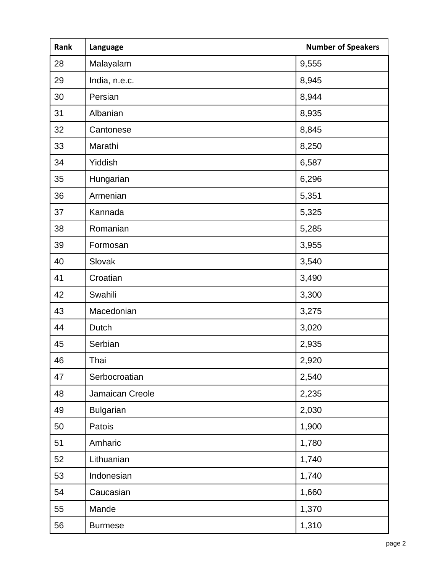| Rank | Language         | <b>Number of Speakers</b> |
|------|------------------|---------------------------|
| 28   | Malayalam        | 9,555                     |
| 29   | India, n.e.c.    | 8,945                     |
| 30   | Persian          | 8,944                     |
| 31   | Albanian         | 8,935                     |
| 32   | Cantonese        | 8,845                     |
| 33   | Marathi          | 8,250                     |
| 34   | Yiddish          | 6,587                     |
| 35   | Hungarian        | 6,296                     |
| 36   | Armenian         | 5,351                     |
| 37   | Kannada          | 5,325                     |
| 38   | Romanian         | 5,285                     |
| 39   | Formosan         | 3,955                     |
| 40   | Slovak           | 3,540                     |
| 41   | Croatian         | 3,490                     |
| 42   | Swahili          | 3,300                     |
| 43   | Macedonian       | 3,275                     |
| 44   | Dutch            | 3,020                     |
| 45   | Serbian          | 2,935                     |
| 46   | Thai             | 2,920                     |
| 47   | Serbocroatian    | 2,540                     |
| 48   | Jamaican Creole  | 2,235                     |
| 49   | <b>Bulgarian</b> | 2,030                     |
| 50   | Patois           | 1,900                     |
| 51   | Amharic          | 1,780                     |
| 52   | Lithuanian       | 1,740                     |
| 53   | Indonesian       | 1,740                     |
| 54   | Caucasian        | 1,660                     |
| 55   | Mande            | 1,370                     |
| 56   | <b>Burmese</b>   | 1,310                     |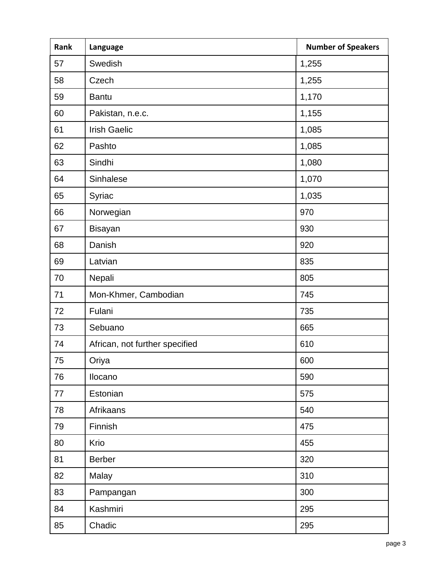| Rank | Language                       | <b>Number of Speakers</b> |
|------|--------------------------------|---------------------------|
| 57   | Swedish                        | 1,255                     |
| 58   | Czech                          | 1,255                     |
| 59   | <b>Bantu</b>                   | 1,170                     |
| 60   | Pakistan, n.e.c.               | 1,155                     |
| 61   | <b>Irish Gaelic</b>            | 1,085                     |
| 62   | Pashto                         | 1,085                     |
| 63   | Sindhi                         | 1,080                     |
| 64   | Sinhalese                      | 1,070                     |
| 65   | Syriac                         | 1,035                     |
| 66   | Norwegian                      | 970                       |
| 67   | <b>Bisayan</b>                 | 930                       |
| 68   | Danish                         | 920                       |
| 69   | Latvian                        | 835                       |
| 70   | Nepali                         | 805                       |
| 71   | Mon-Khmer, Cambodian           | 745                       |
| 72   | Fulani                         | 735                       |
| 73   | Sebuano                        | 665                       |
| 74   | African, not further specified | 610                       |
| 75   | Oriya                          | 600                       |
| 76   | Ilocano                        | 590                       |
| 77   | Estonian                       | 575                       |
| 78   | Afrikaans                      | 540                       |
| 79   | Finnish                        | 475                       |
| 80   | Krio                           | 455                       |
| 81   | <b>Berber</b>                  | 320                       |
| 82   | Malay                          | 310                       |
| 83   | Pampangan                      | 300                       |
| 84   | Kashmiri                       | 295                       |
| 85   | Chadic                         | 295                       |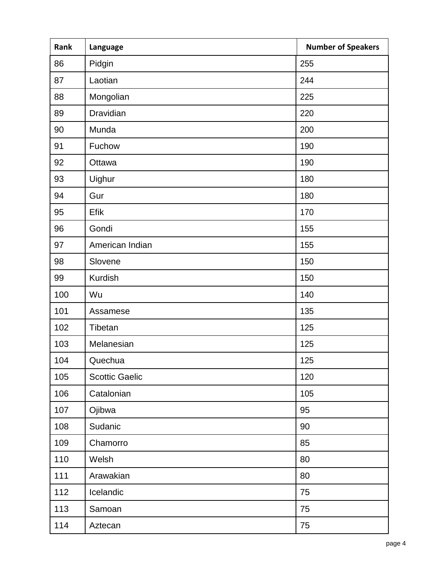| Rank | Language              | <b>Number of Speakers</b> |
|------|-----------------------|---------------------------|
| 86   | Pidgin                | 255                       |
| 87   | Laotian               | 244                       |
| 88   | Mongolian             | 225                       |
| 89   | Dravidian             | 220                       |
| 90   | Munda                 | 200                       |
| 91   | Fuchow                | 190                       |
| 92   | Ottawa                | 190                       |
| 93   | Uighur                | 180                       |
| 94   | Gur                   | 180                       |
| 95   | Efik                  | 170                       |
| 96   | Gondi                 | 155                       |
| 97   | American Indian       | 155                       |
| 98   | Slovene               | 150                       |
| 99   | <b>Kurdish</b>        | 150                       |
| 100  | Wu                    | 140                       |
| 101  | Assamese              | 135                       |
| 102  | Tibetan               | 125                       |
| 103  | Melanesian            | 125                       |
| 104  | Quechua               | 125                       |
| 105  | <b>Scottic Gaelic</b> | 120                       |
| 106  | Catalonian            | 105                       |
| 107  | Ojibwa                | 95                        |
| 108  | Sudanic               | 90                        |
| 109  | Chamorro              | 85                        |
| 110  | Welsh                 | 80                        |
| 111  | Arawakian             | 80                        |
| 112  | Icelandic             | 75                        |
| 113  | Samoan                | 75                        |
| 114  | Aztecan               | 75                        |